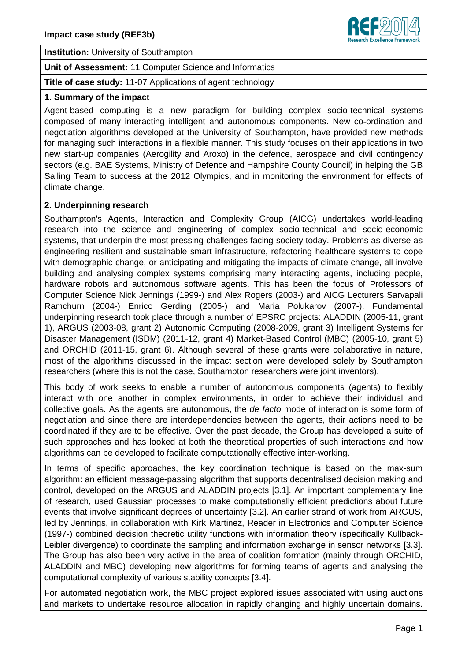

**Institution:** University of Southampton

**Unit of Assessment:** 11 Computer Science and Informatics

**Title of case study:** 11-07 Applications of agent technology

## **1. Summary of the impact**

Agent-based computing is a new paradigm for building complex socio-technical systems composed of many interacting intelligent and autonomous components. New co-ordination and negotiation algorithms developed at the University of Southampton, have provided new methods for managing such interactions in a flexible manner. This study focuses on their applications in two new start-up companies (Aerogility and Aroxo) in the defence, aerospace and civil contingency sectors (e.g. BAE Systems, Ministry of Defence and Hampshire County Council) in helping the GB Sailing Team to success at the 2012 Olympics, and in monitoring the environment for effects of climate change.

## **2. Underpinning research**

Southampton's Agents, Interaction and Complexity Group (AICG) undertakes world-leading research into the science and engineering of complex socio-technical and socio-economic systems, that underpin the most pressing challenges facing society today. Problems as diverse as engineering resilient and sustainable smart infrastructure, refactoring healthcare systems to cope with demographic change, or anticipating and mitigating the impacts of climate change, all involve building and analysing complex systems comprising many interacting agents, including people, hardware robots and autonomous software agents. This has been the focus of Professors of Computer Science Nick Jennings (1999-) and Alex Rogers (2003-) and AICG Lecturers Sarvapali Ramchurn (2004-) Enrico Gerding (2005-) and Maria Polukarov (2007-). Fundamental underpinning research took place through a number of EPSRC projects: ALADDIN (2005-11, grant 1), ARGUS (2003-08, grant 2) Autonomic Computing (2008-2009, grant 3) Intelligent Systems for Disaster Management (ISDM) (2011-12, grant 4) Market-Based Control (MBC) (2005-10, grant 5) and ORCHID (2011-15, grant 6). Although several of these grants were collaborative in nature, most of the algorithms discussed in the impact section were developed solely by Southampton researchers (where this is not the case, Southampton researchers were joint inventors).

This body of work seeks to enable a number of autonomous components (agents) to flexibly interact with one another in complex environments, in order to achieve their individual and collective goals. As the agents are autonomous, the de facto mode of interaction is some form of negotiation and since there are interdependencies between the agents, their actions need to be coordinated if they are to be effective. Over the past decade, the Group has developed a suite of such approaches and has looked at both the theoretical properties of such interactions and how algorithms can be developed to facilitate computationally effective inter-working.

In terms of specific approaches, the key coordination technique is based on the max-sum algorithm: an efficient message-passing algorithm that supports decentralised decision making and control, developed on the ARGUS and ALADDIN projects [3.1]. An important complementary line of research, used Gaussian processes to make computationally efficient predictions about future events that involve significant degrees of uncertainty [3.2]. An earlier strand of work from ARGUS, led by Jennings, in collaboration with Kirk Martinez, Reader in Electronics and Computer Science (1997-) combined decision theoretic utility functions with information theory (specifically Kullback-Leibler divergence) to coordinate the sampling and information exchange in sensor networks [3.3]. The Group has also been very active in the area of coalition formation (mainly through ORCHID, ALADDIN and MBC) developing new algorithms for forming teams of agents and analysing the computational complexity of various stability concepts [3.4].

For automated negotiation work, the MBC project explored issues associated with using auctions and markets to undertake resource allocation in rapidly changing and highly uncertain domains.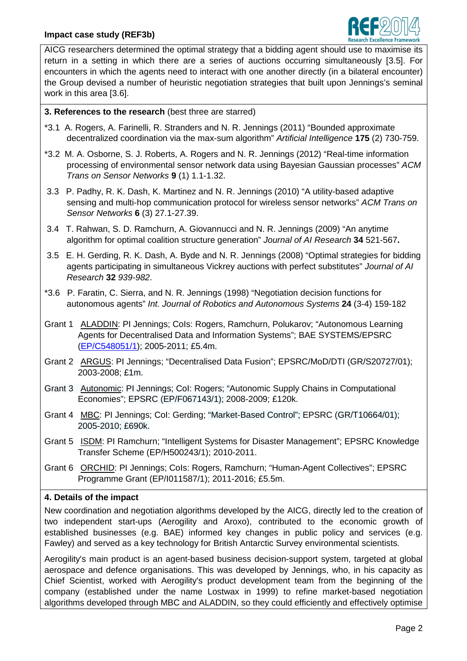

AICG researchers determined the optimal strategy that a bidding agent should use to maximise its return in a setting in which there are a series of auctions occurring simultaneously [3.5]. For encounters in which the agents need to interact with one another directly (in a bilateral encounter) the Group devised a number of heuristic negotiation strategies that built upon Jennings's seminal work in this area [3.6].

# **3. References to the research** (best three are starred)

- \*3.1 A. Rogers, A. Farinelli, R. Stranders and N. R. Jennings (2011) ["Bounded approximate](http://eprints.ecs.soton.ac.uk/21664/) [decentralized coordination via the max-sum algorithm"](http://eprints.ecs.soton.ac.uk/21664/) Artificial Intelligence **175** (2) 730-759.
- \*3.2 M. A. Osborne, S. J. Roberts, A. Rogers and N. R. Jennings (2012) ["Real-time information](http://eprints.ecs.soton.ac.uk/22749/)  [processing of environmental sensor network data using Bayesian Gaussian processes](http://eprints.ecs.soton.ac.uk/22749/)" ACM Trans on Sensor Networks **9** (1) 1.1-1.32.
- 3.3 P. Padhy, R. K. Dash, K. Martinez and N. R. Jennings (2010) ["A utility-based adaptive](http://eprints.ecs.soton.ac.uk/17848/)  [sensing and multi-hop communication protocol for wireless sensor networks"](http://eprints.ecs.soton.ac.uk/17848/) ACM Trans on Sensor Networks **6** (3) 27.1-27.39.
- 3.4 T. Rahwan, S. D. Ramchurn, A. Giovannucci and N. R. Jennings (2009) ["An anytime](http://eprints.ecs.soton.ac.uk/17179/)  [algorithm for optimal coalition structure generation"](http://eprints.ecs.soton.ac.uk/17179/) Journal of AI Research **34** 521-567**.**
- 3.5 E. H. Gerding, R. K. Dash, A. Byde and N. R. Jennings (2008) ["Optimal strategies for bidding](http://eprints.ecs.soton.ac.uk/16075/)  [agents participating in simultaneous Vickrey auctions with perfect substitutes"](http://eprints.ecs.soton.ac.uk/16075/) Journal of AI Research **32** 939-982.
- \*3.6 P. Faratin, C. Sierra, and N. R. Jennings (1998) ["Negotiation decision functions for](http://eprints.ecs.soton.ac.uk/2117/)  [autonomous agents"](http://eprints.ecs.soton.ac.uk/2117/) Int. Journal of Robotics and Autonomous Systems **24** (3-4) 159-182
- Grant 1 ALADDIN: PI Jennings; CoIs: Rogers, Ramchurn, Polukarov; "Autonomous Learning Agents for Decentralised Data and Information Systems"; BAE SYSTEMS/EPSRC (EP/C548051/1); 2005-2011; £5.4m.
- Grant 2 [ARGUS: PI Jen](http://gow.epsrc.ac.uk/ProgressCheck.aspx?GrantRefNumber=EP/C548051/1)nings; "Decentralised Data Fusion"; EPSRC/MoD/DTI (GR/S20727/01); 2003-2008; £1m.
- Grant 3 Autonomic: PI Jennings; CoI: Rogers; "Autonomic Supply Chains in Computational Economies"; EPSRC (EP/F067143/1); 2008-2009; £120k.
- Grant 4 MBC: PI Jennings; CoI: Gerding; "Market-Based Control"; EPSRC (GR/T10664/01); 2005-2010; £690k.
- Grant 5 ISDM: PI Ramchurn; "Intelligent Systems for Disaster Management"; EPSRC Knowledge Transfer Scheme (EP/H500243/1); 2010-2011.
- Grant 6 ORCHID: PI Jennings; CoIs: Rogers, Ramchurn; "Human-Agent Collectives"; EPSRC Programme Grant (EP/I011587/1); 2011-2016; £5.5m.

# **4. Details of the impact**

New coordination and negotiation algorithms developed by the AICG, directly led to the creation of two independent start-ups (Aerogility and Aroxo), contributed to the economic growth of established businesses (e.g. BAE) informed key changes in public policy and services (e.g. Fawley) and served as a key technology for British Antarctic Survey environmental scientists.

Aerogility's main product is an agent-based business decision-support system, targeted at global aerospace and defence organisations. This was developed by Jennings, who, in his capacity as Chief Scientist, worked with Aerogility's product development team from the beginning of the company (established under the name Lostwax in 1999) to refine market-based negotiation algorithms developed through MBC and ALADDIN, so they could efficiently and effectively optimise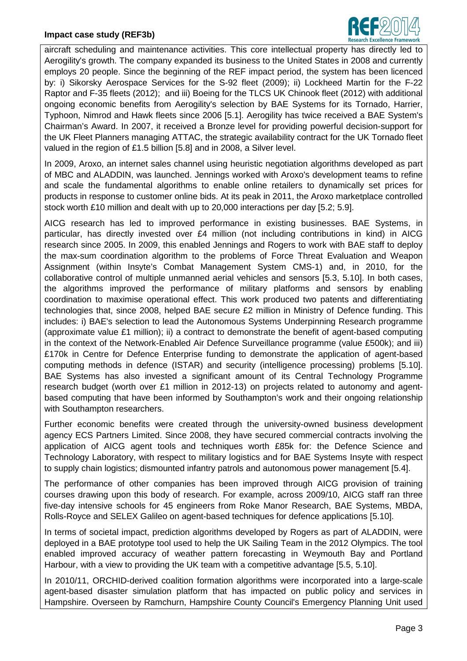

aircraft scheduling and maintenance activities. This core intellectual property has directly led to Aerogility's growth. The company expanded its business to the United States in 2008 and currently employs 20 people. Since the beginning of the REF impact period, the system has been licenced by: i) Sikorsky Aerospace Services for the S-92 fleet (2009); ii) Lockheed Martin for the F-22 Raptor and F-35 fleets (2012); and iii) Boeing for the TLCS UK Chinook fleet (2012) with additional ongoing economic benefits from Aerogility's selection by BAE Systems for its Tornado, Harrier, Typhoon, Nimrod and Hawk fleets since 2006 [5.1]. Aerogility has twice received a BAE System's Chairman's Award. In 2007, it received a Bronze level for providing powerful decision-support for the UK Fleet Planners managing ATTAC, the strategic availability contract for the UK Tornado fleet valued in the region of £1.5 billion [5.8] and in 2008, a Silver level.

In 2009, Aroxo, an internet sales channel using heuristic negotiation algorithms developed as part of MBC and ALADDIN, was launched. Jennings worked with Aroxo's development teams to refine and scale the fundamental algorithms to enable online retailers to dynamically set prices for products in response to customer online bids. At its peak in 2011, the Aroxo marketplace controlled stock worth £10 million and dealt with up to 20,000 interactions per day [5.2; 5.9].

AICG research has led to improved performance in existing businesses. BAE Systems, in particular, has directly invested over £4 million (not including contributions in kind) in AICG research since 2005. In 2009, this enabled Jennings and Rogers to work with BAE staff to deploy the max-sum coordination algorithm to the problems of Force Threat Evaluation and Weapon Assignment (within Insyte's Combat Management System CMS-1) and, in 2010, for the collaborative control of multiple unmanned aerial vehicles and sensors [5.3, 5.10]. In both cases, the algorithms improved the performance of military platforms and sensors by enabling coordination to maximise operational effect. This work produced two patents and differentiating technologies that, since 2008, helped BAE secure £2 million in Ministry of Defence funding. This includes: i) BAE's selection to lead the Autonomous Systems Underpinning Research programme (approximate value £1 million); ii) a contract to demonstrate the benefit of agent-based computing in the context of the Network-Enabled Air Defence Surveillance programme (value £500k); and iii) £170k in Centre for Defence Enterprise funding to demonstrate the application of agent-based computing methods in defence (ISTAR) and security (intelligence processing) problems [5.10]. BAE Systems has also invested a significant amount of its Central Technology Programme research budget (worth over £1 million in 2012-13) on projects related to autonomy and agentbased computing that have been informed by Southampton's work and their ongoing relationship with Southampton researchers.

Further economic benefits were created through the university-owned business development agency ECS Partners Limited. Since 2008, they have secured commercial contracts involving the application of AICG agent tools and techniques worth £85k for: the Defence Science and Technology Laboratory, with respect to military logistics and for BAE Systems Insyte with respect to supply chain logistics; dismounted infantry patrols and autonomous power management [5.4].

The performance of other companies has been improved through AICG provision of training courses drawing upon this body of research. For example, across 2009/10, AICG staff ran three five-day intensive schools for 45 engineers from Roke Manor Research, BAE Systems, MBDA, Rolls-Royce and SELEX Galileo on agent-based techniques for defence applications [5.10].

In terms of societal impact, prediction algorithms developed by Rogers as part of ALADDIN, were deployed in a BAE prototype tool used to help the UK Sailing Team in the 2012 Olympics. The tool enabled improved accuracy of weather pattern forecasting in Weymouth Bay and Portland Harbour, with a view to providing the UK team with a competitive advantage [5.5, 5.10].

In 2010/11, ORCHID-derived coalition formation algorithms were incorporated into a large-scale agent-based disaster simulation platform that has impacted on public policy and services in Hampshire. Overseen by Ramchurn, Hampshire County Council's Emergency Planning Unit used